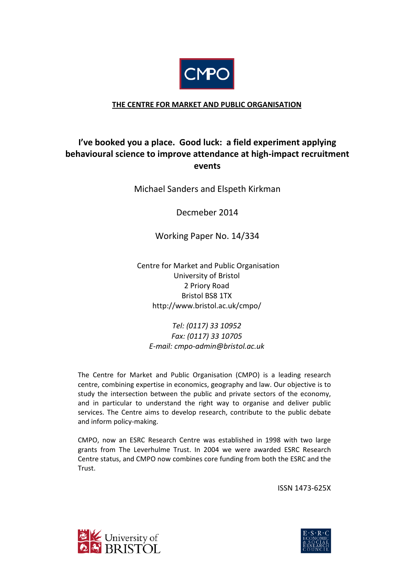

## **THE CENTRE FOR MARKET AND PUBLIC ORGANISATION**

# **I've booked you a place. Good luck: a field experiment applying behavioural science to improve attendance at high-impact recruitment events**

## Michael Sanders and Elspeth Kirkman

Decmeber 2014

Working Paper No. 14/334

 Centre for Market and Public Organisation University of Bristol 2 Priory Road Bristol BS8 1TX http://www.bristol.ac.uk/cmpo/

*Tel: (0117) 33 10952 Fax: (0117) 33 10705 E-mail: cmpo-admin@bristol.ac.uk*

The Centre for Market and Public Organisation (CMPO) is a leading research centre, combining expertise in economics, geography and law. Our objective is to study the intersection between the public and private sectors of the economy, and in particular to understand the right way to organise and deliver public services. The Centre aims to develop research, contribute to the public debate and inform policy-making.

CMPO, now an ESRC Research Centre was established in 1998 with two large grants from The Leverhulme Trust. In 2004 we were awarded ESRC Research Centre status, and CMPO now combines core funding from both the ESRC and the Trust.

ISSN 1473-625X



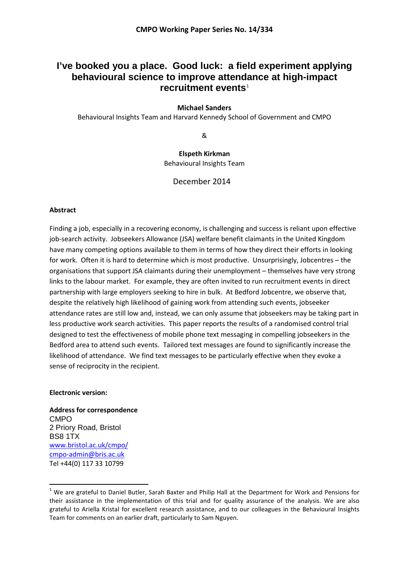## **I've booked you a place. Good luck: a field experiment applying behavioural science to improve attendance at high-impact recruitment events**[1](#page-1-0)

### **Michael Sanders**

Behavioural Insights Team and Harvard Kennedy School of Government and CMPO

&

**Elspeth Kirkman** Behavioural Insights Team

December 2014

### **Abstract**

Finding a job, especially in a recovering economy, is challenging and success is reliant upon effective job-search activity. Jobseekers Allowance (JSA) welfare benefit claimants in the United Kingdom have many competing options available to them in terms of how they direct their efforts in looking for work. Often it is hard to determine which is most productive. Unsurprisingly, Jobcentres – the organisations that support JSA claimants during their unemployment – themselves have very strong links to the labour market. For example, they are often invited to run recruitment events in direct partnership with large employers seeking to hire in bulk. At Bedford Jobcentre, we observe that, despite the relatively high likelihood of gaining work from attending such events, jobseeker attendance rates are still low and, instead, we can only assume that jobseekers may be taking part in less productive work search activities. This paper reports the results of a randomised control trial designed to test the effectiveness of mobile phone text messaging in compelling jobseekers in the Bedford area to attend such events. Tailored text messages are found to significantly increase the likelihood of attendance. We find text messages to be particularly effective when they evoke a sense of reciprocity in the recipient.

#### **Electronic version:**

**.** 

**Address for correspondence** CMPO 2 Priory Road, Bristol BS8 1TX [www.bristol.ac.uk/cmpo/](http://www.bristol.ac.uk/cmpo/) cmpo-admin@bris.ac.uk Tel +44(0) 117 33 10799

<span id="page-1-0"></span> $1$  We are grateful to Daniel Butler, Sarah Baxter and Philip Hall at the Department for Work and Pensions for their assistance in the implementation of this trial and for quality assurance of the analysis. We are also grateful to Ariella Kristal for excellent research assistance, and to our colleagues in the Behavioural Insights Team for comments on an earlier draft, particularly to Sam Nguyen.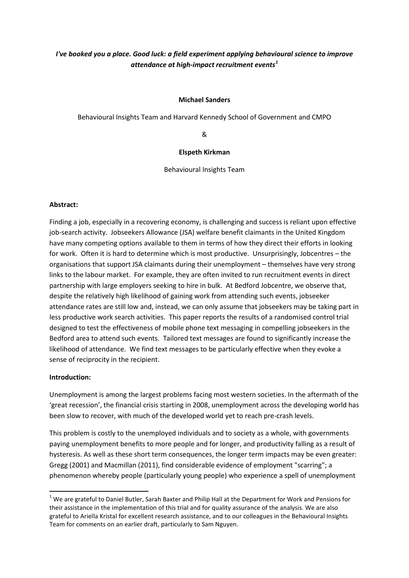## *I've booked you a place. Good luck: a field experiment applying behavioural science to improve attendance at high-impact recruitment events[1](#page-2-0)*

### **Michael Sanders**

Behavioural Insights Team and Harvard Kennedy School of Government and CMPO

&

### **Elspeth Kirkman**

Behavioural Insights Team

### **Abstract:**

Finding a job, especially in a recovering economy, is challenging and success is reliant upon effective job-search activity. Jobseekers Allowance (JSA) welfare benefit claimants in the United Kingdom have many competing options available to them in terms of how they direct their efforts in looking for work. Often it is hard to determine which is most productive. Unsurprisingly, Jobcentres – the organisations that support JSA claimants during their unemployment – themselves have very strong links to the labour market. For example, they are often invited to run recruitment events in direct partnership with large employers seeking to hire in bulk. At Bedford Jobcentre, we observe that, despite the relatively high likelihood of gaining work from attending such events, jobseeker attendance rates are still low and, instead, we can only assume that jobseekers may be taking part in less productive work search activities. This paper reports the results of a randomised control trial designed to test the effectiveness of mobile phone text messaging in compelling jobseekers in the Bedford area to attend such events. Tailored text messages are found to significantly increase the likelihood of attendance. We find text messages to be particularly effective when they evoke a sense of reciprocity in the recipient.

### **Introduction:**

**.** 

Unemployment is among the largest problems facing most western societies. In the aftermath of the 'great recession', the financial crisis starting in 2008, unemployment across the developing world has been slow to recover, with much of the developed world yet to reach pre-crash levels.

This problem is costly to the unemployed individuals and to society as a whole, with governments paying unemployment benefits to more people and for longer, and productivity falling as a result of hysteresis. As well as these short term consequences, the longer term impacts may be even greater: Gregg (2001) and Macmillan (2011), find considerable evidence of employment "scarring"; a phenomenon whereby people (particularly young people) who experience a spell of unemployment

<span id="page-2-0"></span> $1$  We are grateful to Daniel Butler, Sarah Baxter and Philip Hall at the Department for Work and Pensions for their assistance in the implementation of this trial and for quality assurance of the analysis. We are also grateful to Ariella Kristal for excellent research assistance, and to our colleagues in the Behavioural Insights Team for comments on an earlier draft, particularly to Sam Nguyen.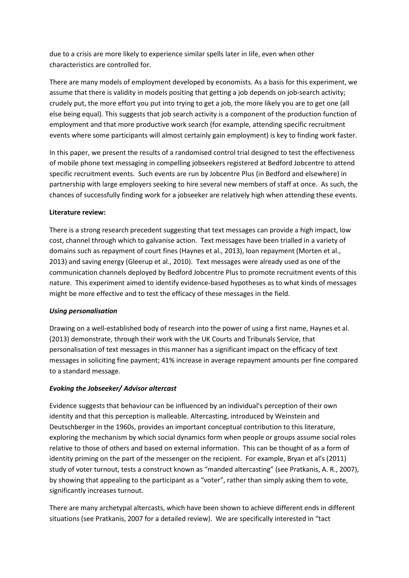due to a crisis are more likely to experience similar spells later in life, even when other characteristics are controlled for.

There are many models of employment developed by economists. As a basis for this experiment, we assume that there is validity in models positing that getting a job depends on job-search activity; crudely put, the more effort you put into trying to get a job, the more likely you are to get one (all else being equal). This suggests that job search activity is a component of the production function of employment and that more productive work search (for example, attending specific recruitment events where some participants will almost certainly gain employment) is key to finding work faster.

In this paper, we present the results of a randomised control trial designed to test the effectiveness of mobile phone text messaging in compelling jobseekers registered at Bedford Jobcentre to attend specific recruitment events. Such events are run by Jobcentre Plus (in Bedford and elsewhere) in partnership with large employers seeking to hire several new members of staff at once. As such, the chances of successfully finding work for a jobseeker are relatively high when attending these events.

### **Literature review:**

There is a strong research precedent suggesting that text messages can provide a high impact, low cost, channel through which to galvanise action. Text messages have been trialled in a variety of domains such as repayment of court fines (Haynes et al., 2013), loan repayment (Morten et al., 2013) and saving energy (Gleerup et al., 2010). Text messages were already used as one of the communication channels deployed by Bedford Jobcentre Plus to promote recruitment events of this nature. This experiment aimed to identify evidence-based hypotheses as to what kinds of messages might be more effective and to test the efficacy of these messages in the field.

### *Using personalisation*

Drawing on a well-established body of research into the power of using a first name, Haynes et al. (2013) demonstrate, through their work with the UK Courts and Tribunals Service, that personalisation of text messages in this manner has a significant impact on the efficacy of text messages in soliciting fine payment; 41% increase in average repayment amounts per fine compared to a standard message.

### *Evoking the Jobseeker/ Advisor altercast*

Evidence suggests that behaviour can be influenced by an individual's perception of their own identity and that this perception is malleable. Altercasting, introduced by Weinstein and Deutschberger in the 1960s, provides an important conceptual contribution to this literature, exploring the mechanism by which social dynamics form when people or groups assume social roles relative to those of others and based on external information. This can be thought of as a form of identity priming on the part of the messenger on the recipient. For example, Bryan et al's (2011) study of voter turnout, tests a construct known as "manded altercasting" (see Pratkanis, A. R., 2007), by showing that appealing to the participant as a "voter", rather than simply asking them to vote, significantly increases turnout.

There are many archetypal altercasts, which have been shown to achieve different ends in different situations (see Pratkanis, 2007 for a detailed review). We are specifically interested in "tact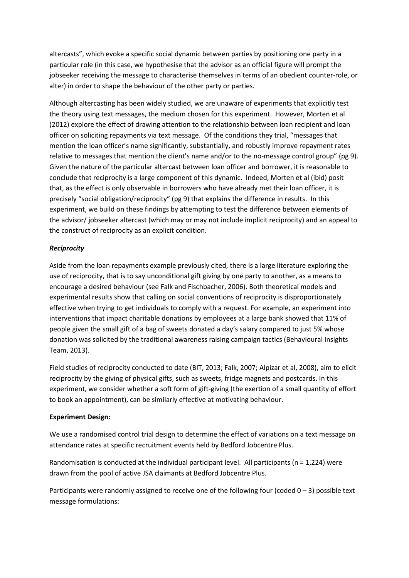altercasts", which evoke a specific social dynamic between parties by positioning one party in a particular role (in this case, we hypothesise that the advisor as an official figure will prompt the jobseeker receiving the message to characterise themselves in terms of an obedient counter-role, or alter) in order to shape the behaviour of the other party or parties.

Although altercasting has been widely studied, we are unaware of experiments that explicitly test the theory using text messages, the medium chosen for this experiment. However, Morten et al (2012) explore the effect of drawing attention to the relationship between loan recipient and loan officer on soliciting repayments via text message. Of the conditions they trial, "messages that mention the loan officer's name significantly, substantially, and robustly improve repayment rates relative to messages that mention the client's name and/or to the no-message control group" (pg 9). Given the nature of the particular altercast between loan officer and borrower, it is reasonable to conclude that reciprocity is a large component of this dynamic. Indeed, Morten et al (ibid) posit that, as the effect is only observable in borrowers who have already met their loan officer, it is precisely "social obligation/reciprocity" (pg 9) that explains the difference in results. In this experiment, we build on these findings by attempting to test the difference between elements of the advisor/ jobseeker altercast (which may or may not include implicit reciprocity) and an appeal to the construct of reciprocity as an explicit condition.

### *Reciprocity*

Aside from the loan repayments example previously cited, there is a large literature exploring the use of reciprocity, that is to say unconditional gift giving by one party to another, as a means to encourage a desired behaviour (see Falk and Fischbacher, 2006). Both theoretical models and experimental results show that calling on social conventions of reciprocity is disproportionately effective when trying to get individuals to comply with a request. For example, an experiment into interventions that impact charitable donations by employees at a large bank showed that 11% of people given the small gift of a bag of sweets donated a day's salary compared to just 5% whose donation was solicited by the traditional awareness raising campaign tactics (Behavioural Insights Team, 2013).

Field studies of reciprocity conducted to date (BIT, 2013; Falk, 2007; Alpizar et al, 2008), aim to elicit reciprocity by the giving of physical gifts, such as sweets, fridge magnets and postcards. In this experiment, we consider whether a soft form of gift-giving (the exertion of a small quantity of effort to book an appointment), can be similarly effective at motivating behaviour.

### **Experiment Design:**

We use a randomised control trial design to determine the effect of variations on a text message on attendance rates at specific recruitment events held by Bedford Jobcentre Plus.

Randomisation is conducted at the individual participant level. All participants ( $n = 1,224$ ) were drawn from the pool of active JSA claimants at Bedford Jobcentre Plus.

Participants were randomly assigned to receive one of the following four (coded  $0 - 3$ ) possible text message formulations: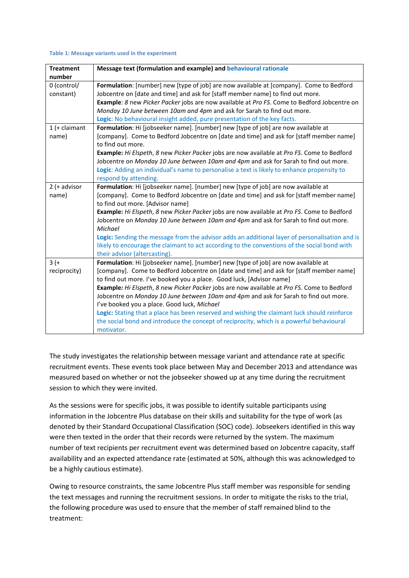#### **Table 1: Message variants used in the experiment**

| <b>Treatment</b> | Message text (formulation and example) and behavioural rationale                                             |  |  |  |
|------------------|--------------------------------------------------------------------------------------------------------------|--|--|--|
| number           |                                                                                                              |  |  |  |
| 0 (control/      | Formulation: [number] new [type of job] are now available at [company]. Come to Bedford                      |  |  |  |
| constant)        | Jobcentre on [date and time] and ask for [staff member name] to find out more.                               |  |  |  |
|                  | Example: 8 new Picker Packer jobs are now available at Pro FS. Come to Bedford Jobcentre on                  |  |  |  |
|                  | Monday 10 June between 10am and 4pm and ask for Sarah to find out more.                                      |  |  |  |
|                  | Logic: No behavioural insight added, pure presentation of the key facts.                                     |  |  |  |
| $1$ (+ claimant  | Formulation: Hi [jobseeker name]. [number] new [type of job] are now available at                            |  |  |  |
| name)            | [company]. Come to Bedford Jobcentre on [date and time] and ask for [staff member name]<br>to find out more. |  |  |  |
|                  | Example: Hi Elspeth, 8 new Picker Packer jobs are now available at Pro FS. Come to Bedford                   |  |  |  |
|                  | Jobcentre on Monday 10 June between 10am and 4pm and ask for Sarah to find out more.                         |  |  |  |
|                  | Logic: Adding an individual's name to personalise a text is likely to enhance propensity to                  |  |  |  |
|                  | respond by attending.                                                                                        |  |  |  |
| $2$ (+ advisor   | Formulation: Hi [jobseeker name]. [number] new [type of job] are now available at                            |  |  |  |
| name)            | [company]. Come to Bedford Jobcentre on [date and time] and ask for [staff member name]                      |  |  |  |
|                  | to find out more. [Advisor name]                                                                             |  |  |  |
|                  | Example: Hi Elspeth, 8 new Picker Packer jobs are now available at Pro FS. Come to Bedford                   |  |  |  |
|                  | Jobcentre on Monday 10 June between 10am and 4pm and ask for Sarah to find out more.                         |  |  |  |
|                  | Michael                                                                                                      |  |  |  |
|                  | Logic: Sending the message from the advisor adds an additional layer of personalisation and is               |  |  |  |
|                  | likely to encourage the claimant to act according to the conventions of the social bond with                 |  |  |  |
|                  | their advisor (altercasting).                                                                                |  |  |  |
| $3(+)$           | Formulation: Hi [jobseeker name]. [number] new [type of job] are now available at                            |  |  |  |
| reciprocity)     | [company]. Come to Bedford Jobcentre on [date and time] and ask for [staff member name]                      |  |  |  |
|                  | to find out more. I've booked you a place. Good luck, [Advisor name]                                         |  |  |  |
|                  | Example: Hi Elspeth, 8 new Picker Packer jobs are now available at Pro FS. Come to Bedford                   |  |  |  |
|                  | Jobcentre on Monday 10 June between 10am and 4pm and ask for Sarah to find out more.                         |  |  |  |
|                  | I've booked you a place. Good luck, Michael                                                                  |  |  |  |
|                  | Logic: Stating that a place has been reserved and wishing the claimant luck should reinforce                 |  |  |  |
|                  | the social bond and introduce the concept of reciprocity, which is a powerful behavioural                    |  |  |  |
|                  | motivator.                                                                                                   |  |  |  |

The study investigates the relationship between message variant and attendance rate at specific recruitment events. These events took place between May and December 2013 and attendance was measured based on whether or not the jobseeker showed up at any time during the recruitment session to which they were invited.

As the sessions were for specific jobs, it was possible to identify suitable participants using information in the Jobcentre Plus database on their skills and suitability for the type of work (as denoted by their Standard Occupational Classification (SOC) code). Jobseekers identified in this way were then texted in the order that their records were returned by the system. The maximum number of text recipients per recruitment event was determined based on Jobcentre capacity, staff availability and an expected attendance rate (estimated at 50%, although this was acknowledged to be a highly cautious estimate).

Owing to resource constraints, the same Jobcentre Plus staff member was responsible for sending the text messages and running the recruitment sessions. In order to mitigate the risks to the trial, the following procedure was used to ensure that the member of staff remained blind to the treatment: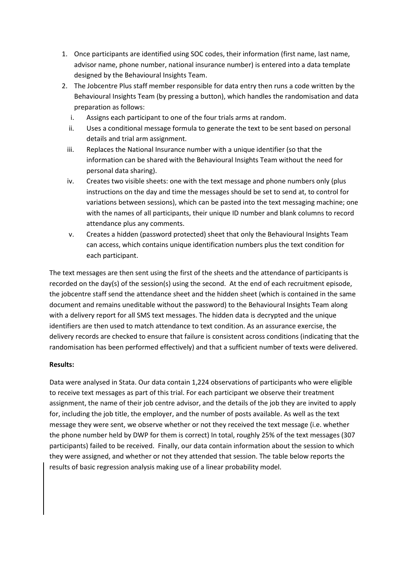- 1. Once participants are identified using SOC codes, their information (first name, last name, advisor name, phone number, national insurance number) is entered into a data template designed by the Behavioural Insights Team.
- 2. The Jobcentre Plus staff member responsible for data entry then runs a code written by the Behavioural Insights Team (by pressing a button), which handles the randomisation and data preparation as follows:
	- i. Assigns each participant to one of the four trials arms at random.
	- ii. Uses a conditional message formula to generate the text to be sent based on personal details and trial arm assignment.
	- iii. Replaces the National Insurance number with a unique identifier (so that the information can be shared with the Behavioural Insights Team without the need for personal data sharing).
	- iv. Creates two visible sheets: one with the text message and phone numbers only (plus instructions on the day and time the messages should be set to send at, to control for variations between sessions), which can be pasted into the text messaging machine; one with the names of all participants, their unique ID number and blank columns to record attendance plus any comments.
	- v. Creates a hidden (password protected) sheet that only the Behavioural Insights Team can access, which contains unique identification numbers plus the text condition for each participant.

The text messages are then sent using the first of the sheets and the attendance of participants is recorded on the day(s) of the session(s) using the second. At the end of each recruitment episode, the jobcentre staff send the attendance sheet and the hidden sheet (which is contained in the same document and remains uneditable without the password) to the Behavioural Insights Team along with a delivery report for all SMS text messages. The hidden data is decrypted and the unique identifiers are then used to match attendance to text condition. As an assurance exercise, the delivery records are checked to ensure that failure is consistent across conditions (indicating that the randomisation has been performed effectively) and that a sufficient number of texts were delivered.

### **Results:**

Data were analysed in Stata. Our data contain 1,224 observations of participants who were eligible to receive text messages as part of this trial. For each participant we observe their treatment assignment, the name of their job centre advisor, and the details of the job they are invited to apply for, including the job title, the employer, and the number of posts available. As well as the text message they were sent, we observe whether or not they received the text message (i.e. whether the phone number held by DWP for them is correct) In total, roughly 25% of the text messages (307 participants) failed to be received. Finally, our data contain information about the session to which they were assigned, and whether or not they attended that session. The table below reports the results of basic regression analysis making use of a linear probability model.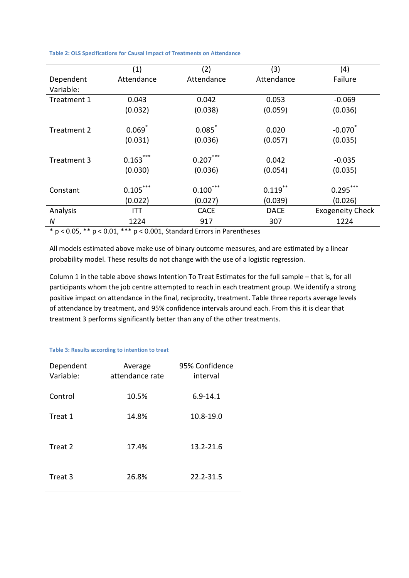|                        | (1)                     | (2)                    | (3)                   | (4)                     |
|------------------------|-------------------------|------------------------|-----------------------|-------------------------|
| Dependent<br>Variable: | Attendance              | Attendance             | Attendance            | Failure                 |
| Treatment 1            | 0.043                   | 0.042                  | 0.053                 | $-0.069$                |
|                        | (0.032)                 | (0.038)                | (0.059)               | (0.036)                 |
| Treatment 2            | 0.069                   | 0.085                  | 0.020                 | $-0.070$                |
|                        | (0.031)                 | (0.036)                | (0.057)               | (0.035)                 |
| Treatment 3            | ***<br>0.163<br>(0.030) | $0.207$ ***<br>(0.036) | 0.042<br>(0.054)      | $-0.035$<br>(0.035)     |
| Constant               | $0.105$ ***<br>(0.022)  | 0.100<br>(0.027)       | $0.119***$<br>(0.039) | 0.295<br>(0.026)        |
| Analysis               | ITT                     | <b>CACE</b>            | <b>DACE</b>           | <b>Exogeneity Check</b> |
| N                      | 1224                    | 917                    | 307                   | 1224                    |

**Table 2: OLS Specifications for Causal Impact of Treatments on Attendance**

\* p < 0.05, \*\* p < 0.01, \*\*\* p < 0.001, Standard Errors in Parentheses

All models estimated above make use of binary outcome measures, and are estimated by a linear probability model. These results do not change with the use of a logistic regression.

Column 1 in the table above shows Intention To Treat Estimates for the full sample – that is, for all participants whom the job centre attempted to reach in each treatment group. We identify a strong positive impact on attendance in the final, reciprocity, treatment. Table three reports average levels of attendance by treatment, and 95% confidence intervals around each. From this it is clear that treatment 3 performs significantly better than any of the other treatments.

#### **Table 3: Results according to intention to treat**

| Dependent<br>Variable: | Average<br>attendance rate | 95% Confidence<br>interval |
|------------------------|----------------------------|----------------------------|
| Control                | 10.5%                      | $6.9 - 14.1$               |
| Treat 1                | 14.8%                      | 10.8-19.0                  |
| Treat 2                | 17.4%                      | 13.2-21.6                  |
| Treat 3                | 26.8%                      | 22.2-31.5                  |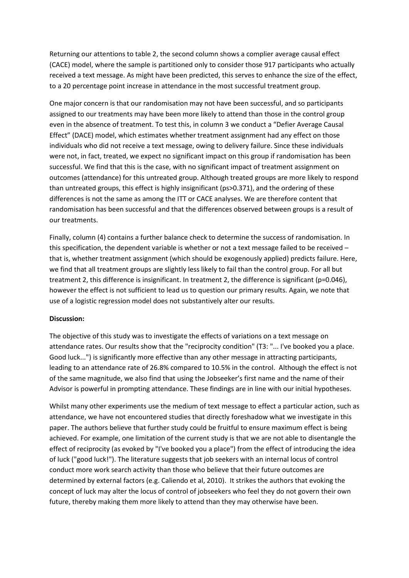Returning our attentions to table 2, the second column shows a complier average causal effect (CACE) model, where the sample is partitioned only to consider those 917 participants who actually received a text message. As might have been predicted, this serves to enhance the size of the effect, to a 20 percentage point increase in attendance in the most successful treatment group.

One major concern is that our randomisation may not have been successful, and so participants assigned to our treatments may have been more likely to attend than those in the control group even in the absence of treatment. To test this, in column 3 we conduct a "Defier Average Causal Effect" (DACE) model, which estimates whether treatment assignment had any effect on those individuals who did not receive a text message, owing to delivery failure. Since these individuals were not, in fact, treated, we expect no significant impact on this group if randomisation has been successful. We find that this is the case, with no significant impact of treatment assignment on outcomes (attendance) for this untreated group. Although treated groups are more likely to respond than untreated groups, this effect is highly insignificant (ps>0.371), and the ordering of these differences is not the same as among the ITT or CACE analyses. We are therefore content that randomisation has been successful and that the differences observed between groups is a result of our treatments.

Finally, column (4) contains a further balance check to determine the success of randomisation. In this specification, the dependent variable is whether or not a text message failed to be received – that is, whether treatment assignment (which should be exogenously applied) predicts failure. Here, we find that all treatment groups are slightly less likely to fail than the control group. For all but treatment 2, this difference is insignificant. In treatment 2, the difference is significant (p=0.046), however the effect is not sufficient to lead us to question our primary results. Again, we note that use of a logistic regression model does not substantively alter our results.

### **Discussion:**

The objective of this study was to investigate the effects of variations on a text message on attendance rates. Our results show that the "reciprocity condition" (T3: "... I've booked you a place. Good luck...") is significantly more effective than any other message in attracting participants, leading to an attendance rate of 26.8% compared to 10.5% in the control. Although the effect is not of the same magnitude, we also find that using the Jobseeker's first name and the name of their Advisor is powerful in prompting attendance. These findings are in line with our initial hypotheses.

Whilst many other experiments use the medium of text message to effect a particular action, such as attendance, we have not encountered studies that directly foreshadow what we investigate in this paper. The authors believe that further study could be fruitful to ensure maximum effect is being achieved. For example, one limitation of the current study is that we are not able to disentangle the effect of reciprocity (as evoked by "I've booked you a place") from the effect of introducing the idea of luck ("good luck!"). The literature suggests that job seekers with an internal locus of control conduct more work search activity than those who believe that their future outcomes are determined by external factors (e.g. Caliendo et al, 2010). It strikes the authors that evoking the concept of luck may alter the locus of control of jobseekers who feel they do not govern their own future, thereby making them more likely to attend than they may otherwise have been.